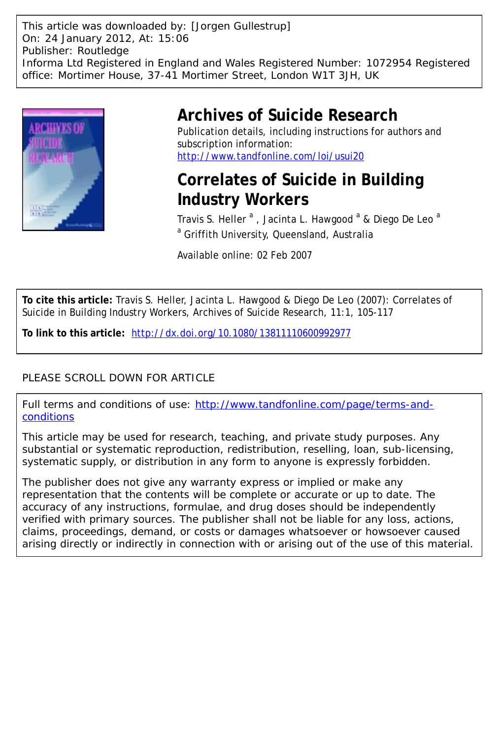This article was downloaded by: [Jorgen Gullestrup] On: 24 January 2012, At: 15:06 Publisher: Routledge Informa Ltd Registered in England and Wales Registered Number: 1072954 Registered office: Mortimer House, 37-41 Mortimer Street, London W1T 3JH, UK



## **Archives of Suicide Research**

Publication details, including instructions for authors and subscription information: <http://www.tandfonline.com/loi/usui20>

## **Correlates of Suicide in Building Industry Workers**

Travis S. Heller <sup>a</sup>, Jacinta L. Hawgood <sup>a</sup> & Diego De Leo <sup>a</sup> <sup>a</sup> Griffith University, Queensland, Australia

Available online: 02 Feb 2007

**To cite this article:** Travis S. Heller, Jacinta L. Hawgood & Diego De Leo (2007): Correlates of Suicide in Building Industry Workers, Archives of Suicide Research, 11:1, 105-117

**To link to this article:** <http://dx.doi.org/10.1080/13811110600992977>

### PLEASE SCROLL DOWN FOR ARTICLE

Full terms and conditions of use: [http://www.tandfonline.com/page/terms-and](http://www.tandfonline.com/page/terms-and-conditions)[conditions](http://www.tandfonline.com/page/terms-and-conditions)

This article may be used for research, teaching, and private study purposes. Any substantial or systematic reproduction, redistribution, reselling, loan, sub-licensing, systematic supply, or distribution in any form to anyone is expressly forbidden.

The publisher does not give any warranty express or implied or make any representation that the contents will be complete or accurate or up to date. The accuracy of any instructions, formulae, and drug doses should be independently verified with primary sources. The publisher shall not be liable for any loss, actions, claims, proceedings, demand, or costs or damages whatsoever or howsoever caused arising directly or indirectly in connection with or arising out of the use of this material.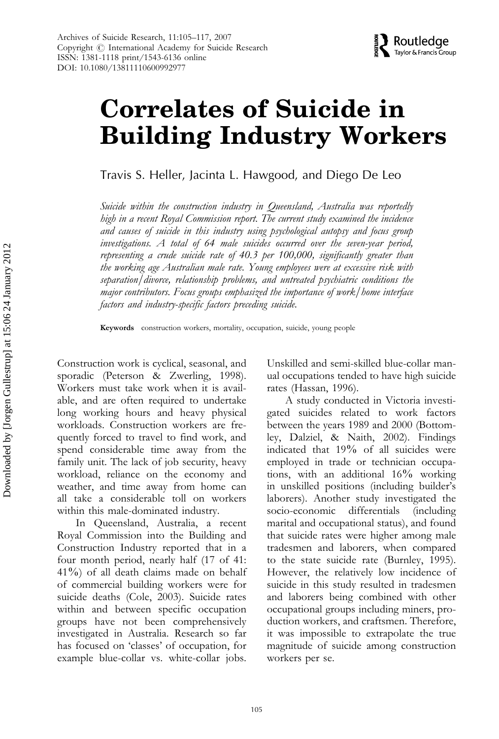# Correlates of Suicide in Building Industry Workers

Travis S. Heller, Jacinta L. Hawgood, and Diego De Leo

Suicide within the construction industry in Queensland, Australia was reportedly high in a recent Royal Commission report. The current study examined the incidence and causes of suicide in this industry using psychological autopsy and focus group investigations. A total of 64 male suicides occurred over the seven-year period, representing a crude suicide rate of 40.3 per 100,000, significantly greater than the working age Australian male rate. Young employees were at excessive risk with separation | divorce, relationship problems, and untreated psychiatric conditions the major contributors. Focus groups emphasized the importance of work  $|$  home interface factors and industry-specific factors preceding suicide.

Keywords construction workers, mortality, occupation, suicide, young people

Construction work is cyclical, seasonal, and sporadic (Peterson & Zwerling, 1998). Workers must take work when it is available, and are often required to undertake long working hours and heavy physical workloads. Construction workers are frequently forced to travel to find work, and spend considerable time away from the family unit. The lack of job security, heavy workload, reliance on the economy and weather, and time away from home can all take a considerable toll on workers within this male-dominated industry.

In Queensland, Australia, a recent Royal Commission into the Building and Construction Industry reported that in a four month period, nearly half (17 of 41: 41%) of all death claims made on behalf of commercial building workers were for suicide deaths (Cole, 2003). Suicide rates within and between specific occupation groups have not been comprehensively investigated in Australia. Research so far has focused on 'classes' of occupation, for example blue-collar vs. white-collar jobs. Unskilled and semi-skilled blue-collar manual occupations tended to have high suicide rates (Hassan, 1996).

A study conducted in Victoria investigated suicides related to work factors between the years 1989 and 2000 (Bottomley, Dalziel, & Naith, 2002). Findings indicated that 19% of all suicides were employed in trade or technician occupations, with an additional 16% working in unskilled positions (including builder's laborers). Another study investigated the socio-economic differentials (including marital and occupational status), and found that suicide rates were higher among male tradesmen and laborers, when compared to the state suicide rate (Burnley, 1995). However, the relatively low incidence of suicide in this study resulted in tradesmen and laborers being combined with other occupational groups including miners, production workers, and craftsmen. Therefore, it was impossible to extrapolate the true magnitude of suicide among construction workers per se.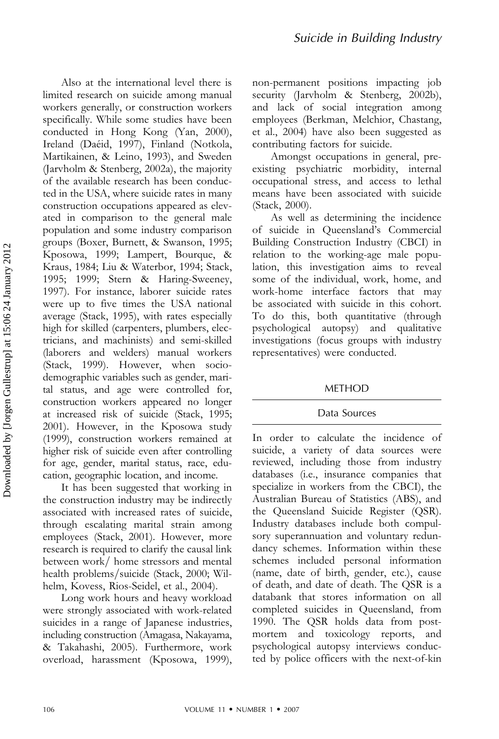Downloaded by [Jorgen Gullestrup] at 15:06 24 January 2012 Downloaded by [Jorgen Gullestrup] at 15:06 24 January 2012

Also at the international level there is limited research on suicide among manual workers generally, or construction workers specifically. While some studies have been conducted in Hong Kong (Yan, 2000), Ireland (Daéid, 1997), Finland (Notkola, Martikainen, & Leino, 1993), and Sweden (Jarvholm & Stenberg, 2002a), the majority of the available research has been conducted in the USA, where suicide rates in many construction occupations appeared as elevated in comparison to the general male population and some industry comparison groups (Boxer, Burnett, & Swanson, 1995; Kposowa, 1999; Lampert, Bourque, & Kraus, 1984; Liu & Waterbor, 1994; Stack, 1995; 1999; Stern & Haring-Sweeney, 1997). For instance, laborer suicide rates were up to five times the USA national average (Stack, 1995), with rates especially high for skilled (carpenters, plumbers, electricians, and machinists) and semi-skilled (laborers and welders) manual workers (Stack, 1999). However, when sociodemographic variables such as gender, marital status, and age were controlled for, construction workers appeared no longer at increased risk of suicide (Stack, 1995; 2001). However, in the Kposowa study (1999), construction workers remained at higher risk of suicide even after controlling for age, gender, marital status, race, education, geographic location, and income.

It has been suggested that working in the construction industry may be indirectly associated with increased rates of suicide, through escalating marital strain among employees (Stack, 2001). However, more research is required to clarify the causal link between work/ home stressors and mental health problems/suicide (Stack, 2000; Wilhelm, Kovess, Rios-Seidel, et al., 2004).

Long work hours and heavy workload were strongly associated with work-related suicides in a range of Japanese industries, including construction (Amagasa, Nakayama, & Takahashi, 2005). Furthermore, work overload, harassment (Kposowa, 1999),

non-permanent positions impacting job security (Jarvholm & Stenberg, 2002b), and lack of social integration among employees (Berkman, Melchior, Chastang, et al., 2004) have also been suggested as contributing factors for suicide.

Amongst occupations in general, preexisting psychiatric morbidity, internal occupational stress, and access to lethal means have been associated with suicide (Stack, 2000).

As well as determining the incidence of suicide in Queensland's Commercial Building Construction Industry (CBCI) in relation to the working-age male population, this investigation aims to reveal some of the individual, work, home, and work-home interface factors that may be associated with suicide in this cohort. To do this, both quantitative (through psychological autopsy) and qualitative investigations (focus groups with industry representatives) were conducted.

#### METHOD

#### Data Sources

In order to calculate the incidence of suicide, a variety of data sources were reviewed, including those from industry databases (i.e., insurance companies that specialize in workers from the CBCI), the Australian Bureau of Statistics (ABS), and the Queensland Suicide Register (QSR). Industry databases include both compulsory superannuation and voluntary redundancy schemes. Information within these schemes included personal information (name, date of birth, gender, etc.), cause of death, and date of death. The QSR is a databank that stores information on all completed suicides in Queensland, from 1990. The QSR holds data from postmortem and toxicology reports, and psychological autopsy interviews conducted by police officers with the next-of-kin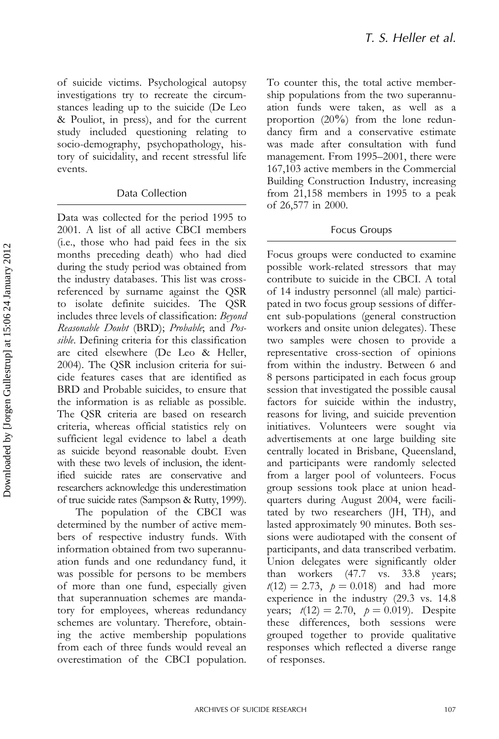of suicide victims. Psychological autopsy investigations try to recreate the circumstances leading up to the suicide (De Leo & Pouliot, in press), and for the current study included questioning relating to socio-demography, psychopathology, history of suicidality, and recent stressful life events.

#### Data Collection

Data was collected for the period 1995 to 2001. A list of all active CBCI members (i.e., those who had paid fees in the six months preceding death) who had died during the study period was obtained from the industry databases. This list was crossreferenced by surname against the QSR to isolate definite suicides. The QSR includes three levels of classification: Beyond Reasonable Doubt (BRD); Probable; and Possible. Defining criteria for this classification are cited elsewhere (De Leo & Heller, 2004). The QSR inclusion criteria for suicide features cases that are identified as BRD and Probable suicides, to ensure that the information is as reliable as possible. The QSR criteria are based on research criteria, whereas official statistics rely on sufficient legal evidence to label a death as suicide beyond reasonable doubt. Even with these two levels of inclusion, the identified suicide rates are conservative and researchers acknowledge this underestimation of true suicide rates (Sampson & Rutty, 1999).

The population of the CBCI was determined by the number of active members of respective industry funds. With information obtained from two superannuation funds and one redundancy fund, it was possible for persons to be members of more than one fund, especially given that superannuation schemes are mandatory for employees, whereas redundancy schemes are voluntary. Therefore, obtaining the active membership populations from each of three funds would reveal an overestimation of the CBCI population. To counter this, the total active membership populations from the two superannuation funds were taken, as well as a proportion  $(20\%)$  from the lone redundancy firm and a conservative estimate was made after consultation with fund management. From 1995–2001, there were 167,103 active members in the Commercial Building Construction Industry, increasing from 21,158 members in 1995 to a peak of 26,577 in 2000.

#### Focus Groups

Focus groups were conducted to examine possible work-related stressors that may contribute to suicide in the CBCI. A total of 14 industry personnel (all male) participated in two focus group sessions of different sub-populations (general construction workers and onsite union delegates). These two samples were chosen to provide a representative cross-section of opinions from within the industry. Between 6 and 8 persons participated in each focus group session that investigated the possible causal factors for suicide within the industry, reasons for living, and suicide prevention initiatives. Volunteers were sought via advertisements at one large building site centrally located in Brisbane, Queensland, and participants were randomly selected from a larger pool of volunteers. Focus group sessions took place at union headquarters during August 2004, were facilitated by two researchers (JH, TH), and lasted approximately 90 minutes. Both sessions were audiotaped with the consent of participants, and data transcribed verbatim. Union delegates were significantly older than workers (47.7 vs. 33.8 years;  $t(12) = 2.73$ ,  $p = 0.018$  and had more experience in the industry (29.3 vs. 14.8 years;  $t(12) = 2.70$ ,  $p = 0.019$ . Despite these differences, both sessions were grouped together to provide qualitative responses which reflected a diverse range of responses.

Downloaded by [Jorgen Gullestrup] at 15:06 24 January 2012 Downloaded by [Jorgen Gullestrup] at 15:06 24 January 2012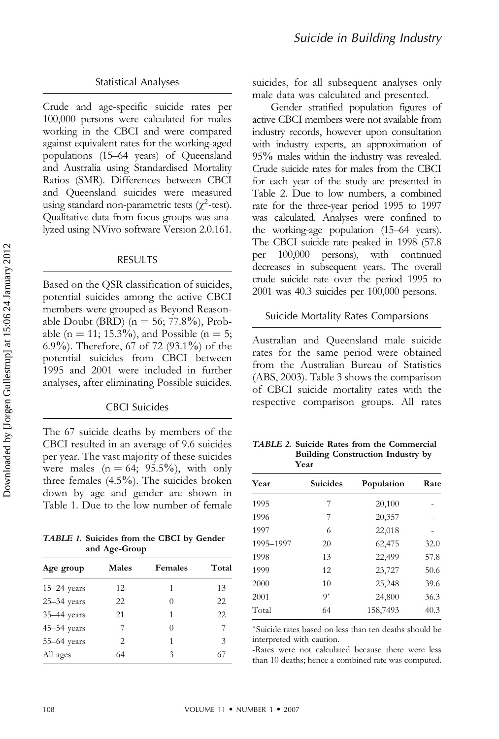#### Statistical Analyses

Crude and age-specific suicide rates per 100,000 persons were calculated for males working in the CBCI and were compared against equivalent rates for the working-aged populations (15–64 years) of Queensland and Australia using Standardised Mortality Ratios (SMR). Differences between CBCI and Queensland suicides were measured using standard non-parametric tests  $(\chi^2$ -test). Qualitative data from focus groups was analyzed using NVivo software Version 2.0.161.

#### RESULTS

Based on the QSR classification of suicides, potential suicides among the active CBCI members were grouped as Beyond Reasonable Doubt (BRD) ( $n = 56$ ; 77.8%), Probable (n = 11; 15.3%), and Possible (n = 5; 6.9%). Therefore, 67 of 72 (93.1%) of the potential suicides from CBCI between 1995 and 2001 were included in further analyses, after eliminating Possible suicides.

#### CBCI Suicides

The 67 suicide deaths by members of the CBCI resulted in an average of 9.6 suicides per year. The vast majority of these suicides were males ( $n = 64$ ; 95.5%), with only three females  $(4.5\%)$ . The suicides broken down by age and gender are shown in Table 1. Due to the low number of female

TABLE 1. Suicides from the CBCI by Gender and Age-Group

| Age group       | <b>Males</b>  | Females | Total         |
|-----------------|---------------|---------|---------------|
| $15-24$ years   | 12            | 1       | 13            |
| $25 - 34$ years | 22            | 0       | 22            |
| $35-44$ years   | 21            | 1       | 22.           |
| $45-54$ years   |               | 0       |               |
| 55-64 years     | $\mathcal{L}$ | 1       | $\mathcal{E}$ |
| All ages        | 64            | 3       |               |
|                 |               |         |               |

suicides, for all subsequent analyses only male data was calculated and presented.

Gender stratified population figures of active CBCI members were not available from industry records, however upon consultation with industry experts, an approximation of 95% males within the industry was revealed. Crude suicide rates for males from the CBCI for each year of the study are presented in Table 2. Due to low numbers, a combined rate for the three-year period 1995 to 1997 was calculated. Analyses were confined to the working-age population (15–64 years). The CBCI suicide rate peaked in 1998 (57.8 per 100,000 persons), with continued decreases in subsequent years. The overall crude suicide rate over the period 1995 to 2001 was 40.3 suicides per 100,000 persons.

#### Suicide Mortality Rates Comparsions

Australian and Queensland male suicide rates for the same period were obtained from the Australian Bureau of Statistics (ABS, 2003). Table 3 shows the comparison of CBCI suicide mortality rates with the respective comparison groups. All rates

TABLE 2. Suicide Rates from the Commercial Building Construction Industry by Year

| Year      | Suicides | Population | Rate |
|-----------|----------|------------|------|
| 1995      | 7        | 20,100     |      |
| 1996      | 7        | 20,357     |      |
| 1997      | 6        | 22,018     |      |
| 1995-1997 | 20       | 62,475     | 32.0 |
| 1998      | 13       | 22,499     | 57.8 |
| 1999      | 12       | 23,727     | 50.6 |
| 2000      | 10       | 25,248     | 39.6 |
| 2001      | $9*$     | 24,800     | 36.3 |
| Total     | 64       | 158,7493   | 40.3 |
|           |          |            |      |

-Suicide rates based on less than ten deaths should be interpreted with caution.

-Rates were not calculated because there were less than 10 deaths; hence a combined rate was computed.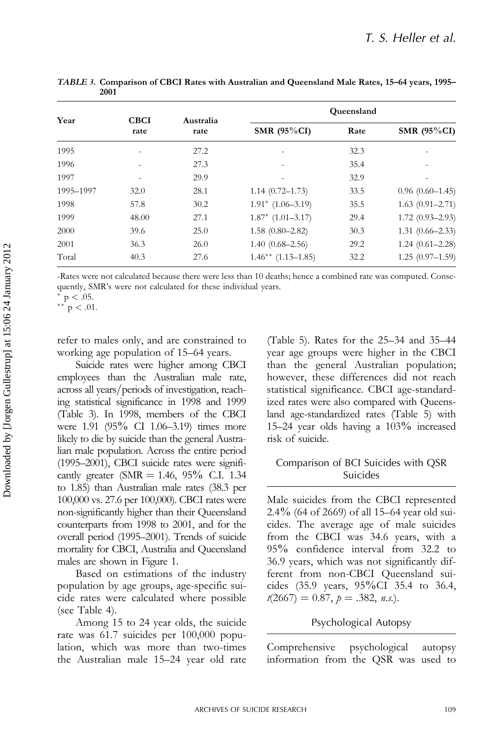| <b>CBCI</b><br>Year<br>rate |                   |                | Queensland             |                |                     |
|-----------------------------|-------------------|----------------|------------------------|----------------|---------------------|
|                             | Australia<br>rate | SMR $(95\%CI)$ | Rate                   | SMR $(95\%CI)$ |                     |
| 1995                        |                   | 27.2           |                        | 32.3           |                     |
| 1996                        |                   | 27.3           |                        | 35.4           |                     |
| 1997                        |                   | 29.9           |                        | 32.9           |                     |
| 1995-1997                   | 32.0              | 28.1           | $1.14(0.72 - 1.73)$    | 33.5           | $0.96(0.60-1.45)$   |
| 1998                        | 57.8              | 30.2           | $1.91^*$ $(1.06-3.19)$ | 35.5           | $1.63(0.91 - 2.71)$ |
| 1999                        | 48.00             | 27.1           | $1.87*$ $(1.01-3.17)$  | 29.4           | $1.72(0.93 - 2.93)$ |
| 2000                        | 39.6              | 25.0           | $1.58(0.80 - 2.82)$    | 30.3           | $1.31(0.66 - 2.33)$ |
| 2001                        | 36.3              | 26.0           | $1.40(0.68 - 2.56)$    | 29.2           | $1.24(0.61 - 2.28)$ |
| Total                       | 40.3              | 27.6           | $1.46**$ $(1.13-1.85)$ | 32.2           | $1.25(0.97-1.59)$   |

TABLE 3. Comparison of CBCI Rates with Australian and Queensland Male Rates, 15–64 years, 1995– 2001

-Rates were not calculated because there were less than 10 deaths; hence a combined rate was computed. Consequently, SMR's were not calculated for these individual years. -

\* p < .05.<br>\*\* p < .01.

refer to males only, and are constrained to working age population of 15–64 years.

Suicide rates were higher among CBCI employees than the Australian male rate, across all years/periods of investigation, reaching statistical significance in 1998 and 1999 (Table 3). In 1998, members of the CBCI were 1.91 (95% CI 1.06-3.19) times more likely to die by suicide than the general Australian male population. Across the entire period (1995–2001), CBCI suicide rates were significantly greater (SMR = 1.46,  $95\%$  C.I. 1.34 to 1.85) than Australian male rates (38.3 per 100,000 vs. 27.6 per 100,000). CBCI rates were non-significantly higher than their Queensland counterparts from 1998 to 2001, and for the overall period (1995–2001). Trends of suicide mortality for CBCI, Australia and Queensland males are shown in Figure 1.

Based on estimations of the industry population by age groups, age-specific suicide rates were calculated where possible (see Table 4).

Among 15 to 24 year olds, the suicide rate was 61.7 suicides per 100,000 population, which was more than two-times the Australian male 15–24 year old rate

(Table 5). Rates for the 25–34 and 35–44 year age groups were higher in the CBCI than the general Australian population; however, these differences did not reach statistical significance. CBCI age-standardized rates were also compared with Queensland age-standardized rates (Table 5) with 15–24 year olds having a 103% increased risk of suicide.

#### Comparison of BCI Suicides with QSR Suicides

Male suicides from the CBCI represented 2.4% (64 of 2669) of all 15–64 year old suicides. The average age of male suicides from the CBCI was 34.6 years, with a 95% confidence interval from 32.2 to 36.9 years, which was not significantly different from non-CBCI Queensland suicides (35.9 years, 95%CI 35.4 to 36.4,  $t(2667) = 0.87, p = .382, n.s.$ 

#### Psychological Autopsy

Comprehensive psychological autopsy information from the QSR was used to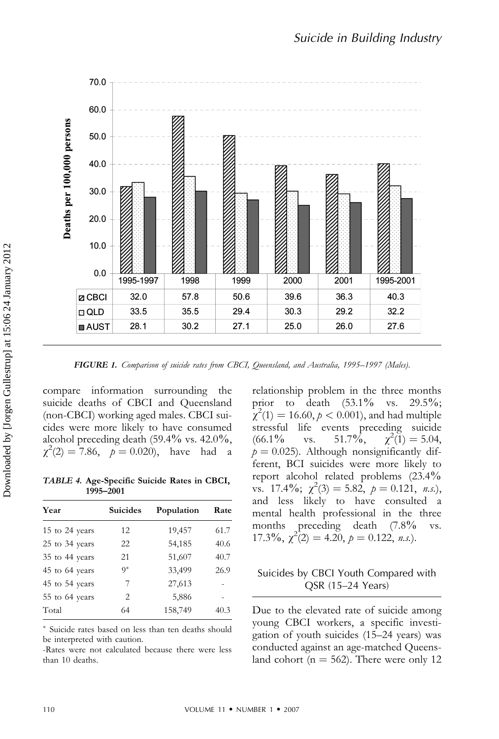

FIGURE 1. Comparison of suicide rates from CBCI, Queensland, and Australia, 1995–1997 (Males).

compare information surrounding the suicide deaths of CBCI and Queensland (non-CBCI) working aged males. CBCI suicides were more likely to have consumed alcohol preceding death  $(59.4\% \text{ vs. } 42.0\%$ ,  $\chi^2(2) = 7.86$ ,  $p = 0.020$ ), have had a

TABLE 4. Age-Specific Suicide Rates in CBCI, 1995–2001

| Year           | Suicides                      | Population | Rate |
|----------------|-------------------------------|------------|------|
| 15 to 24 years | 12                            | 19,457     | 61.7 |
| 25 to 34 years | 22                            | 54,185     | 40.6 |
| 35 to 44 years | 21                            | 51,607     | 40.7 |
| 45 to 64 years | $Q^*$                         | 33,499     | 26.9 |
| 45 to 54 years | 7                             | 27,613     |      |
| 55 to 64 years | $\mathfrak{D}_{\mathfrak{p}}$ | 5,886      |      |
| Total          | 64                            | 158,749    | 40.3 |

- Suicide rates based on less than ten deaths should be interpreted with caution.

relationship problem in the three months prior to death  $(53.1\% \text{ vs. } 29.5\%);$  $\chi^2(1) = 16.60, p < 0.001$ ), and had multiple stressful life events preceding suicide  $(66.1\% \text{ vs. } 51.7\%,$  $\chi^2(1) = 5.04$ ,  $p = 0.025$ ). Although nonsignificantly different, BCI suicides were more likely to report alcohol related problems (23.4% vs. 17.4%;  $\chi^2(3) = 5.82$ ,  $p = 0.121$ , n.s.), and less likely to have consulted a mental health professional in the three months preceding death (7.8% vs. 17.3%,  $\chi^2(2) = 4.20$ ,  $p = 0.122$ , n.s.).

#### Suicides by CBCI Youth Compared with QSR (15–24 Years)

Due to the elevated rate of suicide among young CBCI workers, a specific investigation of youth suicides (15–24 years) was conducted against an age-matched Queensland cohort ( $n = 562$ ). There were only 12

<sup>-</sup>Rates were not calculated because there were less than 10 deaths.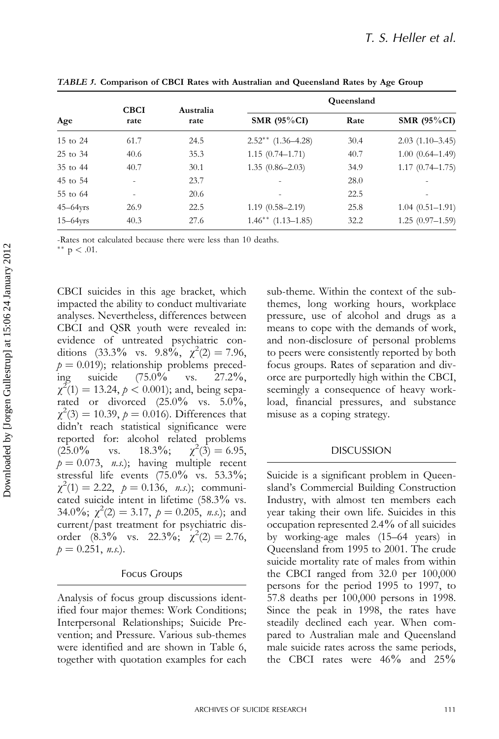| <b>CBCI</b><br>Age<br>rate | Australia<br>rate | <b>Queensland</b>      |      |                     |
|----------------------------|-------------------|------------------------|------|---------------------|
|                            |                   | SMR $(95\%CI)$         | Rate | SMR $(95\%CI)$      |
| 61.7                       | 24.5              | $2.52**$ $(1.36-4.28)$ | 30.4 | $2.03(1.10-3.45)$   |
| 40.6                       | 35.3              | $1.15(0.74 - 1.71)$    | 40.7 | $1.00(0.64 - 1.49)$ |
| 40.7                       | 30.1              | $1.35(0.86 - 2.03)$    | 34.9 | $1.17(0.74 - 1.75)$ |
| $\overline{\phantom{a}}$   | 23.7              |                        | 28.0 |                     |
| $\overline{\phantom{0}}$   | 20.6              |                        | 22.5 |                     |
| 26.9                       | 22.5              | $1.19(0.58 - 2.19)$    | 25.8 | $1.04(0.51 - 1.91)$ |
| 40.3                       | 27.6              | $1.46**$ $(1.13-1.85)$ | 32.2 | $1.25(0.97-1.59)$   |
|                            |                   |                        |      |                     |

TABLE 5. Comparison of CBCI Rates with Australian and Queensland Rates by Age Group

-Rates not calculated because there were less than 10 deaths. \*\*  $p < .01$ .

CBCI suicides in this age bracket, which impacted the ability to conduct multivariate analyses. Nevertheless, differences between CBCI and QSR youth were revealed in: evidence of untreated psychiatric conditions  $(33.3\% \text{ vs. } 9.8\%, \chi^2(2) = 7.96,$  $p = 0.019$ ); relationship problems preceding suicide (75.0% vs. 27.2%,  $\chi^2(1) = 13.24, \, \rho < 0.001$ ); and, being separated or divorced  $(25.0\%$  vs.  $5.0\%$ ,  $\chi^2(3) = 10.39, p = 0.016$ . Differences that didn't reach statistical significance were reported for: alcohol related problems  $(25.0\% \text{ vs. } 18.3\%);$  $\chi^2(3) = 6.95$ ,  $p = 0.073$ , n.s.); having multiple recent stressful life events  $(75.0\% \text{ vs. } 53.3\%);$  $\chi^2(1) = 2.22$ ,  $p = 0.136$ , n.s.); communicated suicide intent in lifetime (58.3% vs. 34.0%;  $\chi^2(2) = 3.17$ ,  $p = 0.205$ , *n.s.*); and current/past treatment for psychiatric disorder  $(8.3\% \text{ vs. } 22.3\%; \chi^2(2) = 2.76,$  $p = 0.251, n.s.$ ).

#### Focus Groups

Analysis of focus group discussions identified four major themes: Work Conditions; Interpersonal Relationships; Suicide Prevention; and Pressure. Various sub-themes were identified and are shown in Table 6, together with quotation examples for each sub-theme. Within the context of the subthemes, long working hours, workplace pressure, use of alcohol and drugs as a means to cope with the demands of work, and non-disclosure of personal problems to peers were consistently reported by both focus groups. Rates of separation and divorce are purportedly high within the CBCI, seemingly a consequence of heavy workload, financial pressures, and substance misuse as a coping strategy.

#### DISCUSSION

Suicide is a significant problem in Queensland's Commercial Building Construction Industry, with almost ten members each year taking their own life. Suicides in this occupation represented 2.4% of all suicides by working-age males (15–64 years) in Queensland from 1995 to 2001. The crude suicide mortality rate of males from within the CBCI ranged from 32.0 per 100,000 persons for the period 1995 to 1997, to 57.8 deaths per 100,000 persons in 1998. Since the peak in 1998, the rates have steadily declined each year. When compared to Australian male and Queensland male suicide rates across the same periods, the CBCI rates were 46% and 25%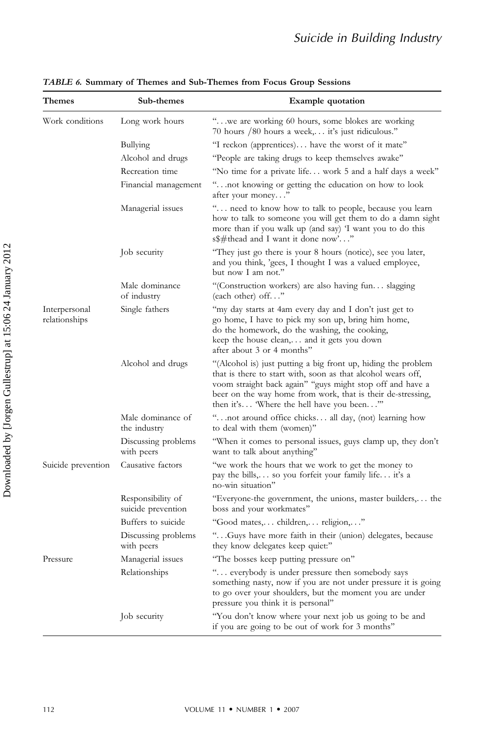| Themes                         | Sub-themes                              | <b>Example</b> quotation                                                                                                                                                                                                                                                                             |
|--------------------------------|-----------------------------------------|------------------------------------------------------------------------------------------------------------------------------------------------------------------------------------------------------------------------------------------------------------------------------------------------------|
| Work conditions                | Long work hours                         | " we are working 60 hours, some blokes are working<br>70 hours /80 hours a week, it's just ridiculous."                                                                                                                                                                                              |
|                                | Bullying                                | "I reckon (apprentices) have the worst of it mate"                                                                                                                                                                                                                                                   |
|                                | Alcohol and drugs                       | "People are taking drugs to keep themselves awake"                                                                                                                                                                                                                                                   |
|                                | Recreation time                         | "No time for a private life work 5 and a half days a week"                                                                                                                                                                                                                                           |
|                                | Financial management                    | "not knowing or getting the education on how to look<br>after your money"                                                                                                                                                                                                                            |
|                                | Managerial issues                       | " need to know how to talk to people, because you learn<br>how to talk to someone you will get them to do a damn sight<br>more than if you walk up (and say) 'I want you to do this<br>s\$#thead and I want it done now'"                                                                            |
|                                | Job security                            | "They just go there is your 8 hours (notice), see you later,<br>and you think, 'gees, I thought I was a valued employee,<br>but now I am not."                                                                                                                                                       |
|                                | Male dominance<br>of industry           | "(Construction workers) are also having fun slagging<br>(each other) off"                                                                                                                                                                                                                            |
| Interpersonal<br>relationships | Single fathers                          | "my day starts at 4am every day and I don't just get to<br>go home, I have to pick my son up, bring him home,<br>do the homework, do the washing, the cooking,<br>keep the house clean, and it gets you down<br>after about 3 or 4 months"                                                           |
|                                | Alcohol and drugs                       | "(Alcohol is) just putting a big front up, hiding the problem<br>that is there to start with, soon as that alcohol wears off,<br>voom straight back again" "guys might stop off and have a<br>beer on the way home from work, that is their de-stressing,<br>then it's Where the hell have you been" |
|                                | Male dominance of<br>the industry       | "not around office chicks all day, (not) learning how<br>to deal with them (women)"                                                                                                                                                                                                                  |
|                                | Discussing problems<br>with peers       | "When it comes to personal issues, guys clamp up, they don't<br>want to talk about anything"                                                                                                                                                                                                         |
| Suicide prevention             | Causative factors                       | "we work the hours that we work to get the money to<br>pay the bills, so you forfeit your family life it's a<br>no-win situation"                                                                                                                                                                    |
|                                | Responsibility of<br>suicide prevention | "Everyone-the government, the unions, master builders, the<br>boss and your workmates"                                                                                                                                                                                                               |
|                                | Buffers to suicide                      | "Good mates, children, religion,"                                                                                                                                                                                                                                                                    |
|                                | Discussing problems<br>with peers       | "Guys have more faith in their (union) delegates, because<br>they know delegates keep quiet:"                                                                                                                                                                                                        |
| Pressure                       | Managerial issues                       | "The bosses keep putting pressure on"                                                                                                                                                                                                                                                                |
|                                | Relationships                           | " everybody is under pressure then somebody says<br>something nasty, now if you are not under pressure it is going<br>to go over your shoulders, but the moment you are under<br>pressure you think it is personal"                                                                                  |
|                                | Job security                            | "You don't know where your next job us going to be and<br>if you are going to be out of work for 3 months"                                                                                                                                                                                           |

TABLE 6. Summary of Themes and Sub-Themes from Focus Group Sessions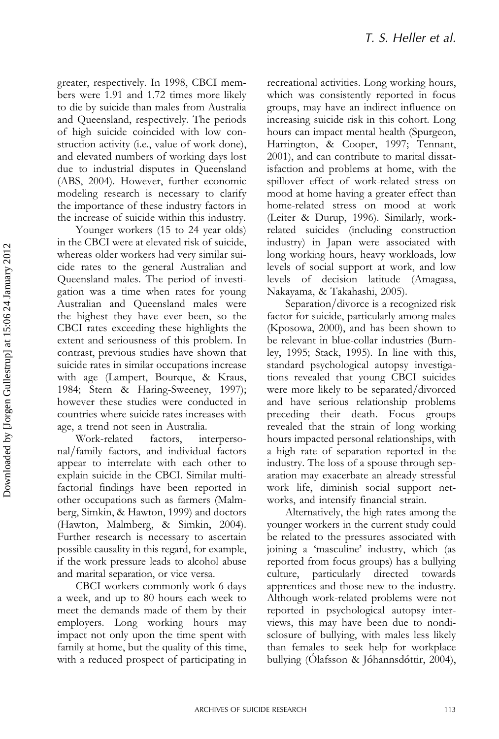greater, respectively. In 1998, CBCI members were 1.91 and 1.72 times more likely to die by suicide than males from Australia and Queensland, respectively. The periods of high suicide coincided with low construction activity (i.e., value of work done), and elevated numbers of working days lost due to industrial disputes in Queensland (ABS, 2004). However, further economic modeling research is necessary to clarify the importance of these industry factors in the increase of suicide within this industry.

Younger workers (15 to 24 year olds) in the CBCI were at elevated risk of suicide, whereas older workers had very similar suicide rates to the general Australian and Queensland males. The period of investigation was a time when rates for young Australian and Queensland males were the highest they have ever been, so the CBCI rates exceeding these highlights the extent and seriousness of this problem. In contrast, previous studies have shown that suicide rates in similar occupations increase with age (Lampert, Bourque, & Kraus, 1984; Stern & Haring-Sweeney, 1997); however these studies were conducted in countries where suicide rates increases with age, a trend not seen in Australia.

Work-related factors, interpersonal/family factors, and individual factors appear to interrelate with each other to explain suicide in the CBCI. Similar multifactorial findings have been reported in other occupations such as farmers (Malmberg, Simkin, & Hawton, 1999) and doctors (Hawton, Malmberg, & Simkin, 2004). Further research is necessary to ascertain possible causality in this regard, for example, if the work pressure leads to alcohol abuse and marital separation, or vice versa.

CBCI workers commonly work 6 days a week, and up to 80 hours each week to meet the demands made of them by their employers. Long working hours may impact not only upon the time spent with family at home, but the quality of this time, with a reduced prospect of participating in recreational activities. Long working hours, which was consistently reported in focus groups, may have an indirect influence on increasing suicide risk in this cohort. Long hours can impact mental health (Spurgeon, Harrington, & Cooper, 1997; Tennant, 2001), and can contribute to marital dissatisfaction and problems at home, with the spillover effect of work-related stress on mood at home having a greater effect than home-related stress on mood at work (Leiter & Durup, 1996). Similarly, workrelated suicides (including construction industry) in Japan were associated with long working hours, heavy workloads, low levels of social support at work, and low levels of decision latitude (Amagasa, Nakayama, & Takahashi, 2005).

Separation/divorce is a recognized risk factor for suicide, particularly among males (Kposowa, 2000), and has been shown to be relevant in blue-collar industries (Burnley, 1995; Stack, 1995). In line with this, standard psychological autopsy investigations revealed that young CBCI suicides were more likely to be separated/divorced and have serious relationship problems preceding their death. Focus groups revealed that the strain of long working hours impacted personal relationships, with a high rate of separation reported in the industry. The loss of a spouse through separation may exacerbate an already stressful work life, diminish social support networks, and intensify financial strain.

Alternatively, the high rates among the younger workers in the current study could be related to the pressures associated with joining a 'masculine' industry, which (as reported from focus groups) has a bullying culture, particularly directed towards apprentices and those new to the industry. Although work-related problems were not reported in psychological autopsy interviews, this may have been due to nondisclosure of bullying, with males less likely than females to seek help for workplace bullying (Olafsson & Jóhannsdóttir, 2004),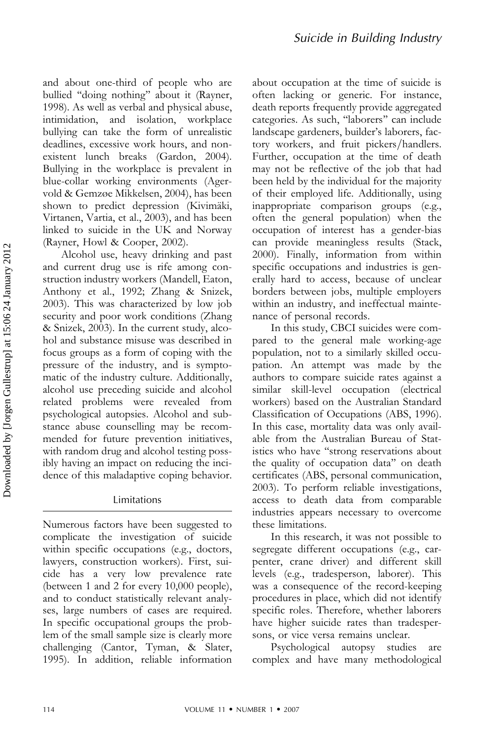and about one-third of people who are bullied ''doing nothing'' about it (Rayner, 1998). As well as verbal and physical abuse, intimidation, and isolation, workplace bullying can take the form of unrealistic deadlines, excessive work hours, and nonexistent lunch breaks (Gardon, 2004). Bullying in the workplace is prevalent in blue-collar working environments (Agervold & Gemzøe Mikkelsen, 2004), has been shown to predict depression (Kivimäki, Virtanen, Vartia, et al., 2003), and has been linked to suicide in the UK and Norway (Rayner, Howl & Cooper, 2002).

Alcohol use, heavy drinking and past and current drug use is rife among construction industry workers (Mandell, Eaton, Anthony et al., 1992; Zhang & Snizek, 2003). This was characterized by low job security and poor work conditions (Zhang & Snizek, 2003). In the current study, alcohol and substance misuse was described in focus groups as a form of coping with the pressure of the industry, and is symptomatic of the industry culture. Additionally, alcohol use preceding suicide and alcohol related problems were revealed from psychological autopsies. Alcohol and substance abuse counselling may be recommended for future prevention initiatives, with random drug and alcohol testing possibly having an impact on reducing the incidence of this maladaptive coping behavior.

#### Limitations

Numerous factors have been suggested to complicate the investigation of suicide within specific occupations (e.g., doctors, lawyers, construction workers). First, suicide has a very low prevalence rate (between 1 and 2 for every 10,000 people), and to conduct statistically relevant analyses, large numbers of cases are required. In specific occupational groups the problem of the small sample size is clearly more challenging (Cantor, Tyman, & Slater, 1995). In addition, reliable information

about occupation at the time of suicide is often lacking or generic. For instance, death reports frequently provide aggregated categories. As such, ''laborers'' can include landscape gardeners, builder's laborers, factory workers, and fruit pickers/handlers. Further, occupation at the time of death may not be reflective of the job that had been held by the individual for the majority of their employed life. Additionally, using inappropriate comparison groups (e.g., often the general population) when the occupation of interest has a gender-bias can provide meaningless results (Stack, 2000). Finally, information from within specific occupations and industries is generally hard to access, because of unclear borders between jobs, multiple employers within an industry, and ineffectual maintenance of personal records.

In this study, CBCI suicides were compared to the general male working-age population, not to a similarly skilled occupation. An attempt was made by the authors to compare suicide rates against a similar skill-level occupation (electrical workers) based on the Australian Standard Classification of Occupations (ABS, 1996). In this case, mortality data was only available from the Australian Bureau of Statistics who have ''strong reservations about the quality of occupation data'' on death certificates (ABS, personal communication, 2003). To perform reliable investigations, access to death data from comparable industries appears necessary to overcome these limitations.

In this research, it was not possible to segregate different occupations (e.g., carpenter, crane driver) and different skill levels (e.g., tradesperson, laborer). This was a consequence of the record-keeping procedures in place, which did not identify specific roles. Therefore, whether laborers have higher suicide rates than tradespersons, or vice versa remains unclear.

Psychological autopsy studies are complex and have many methodological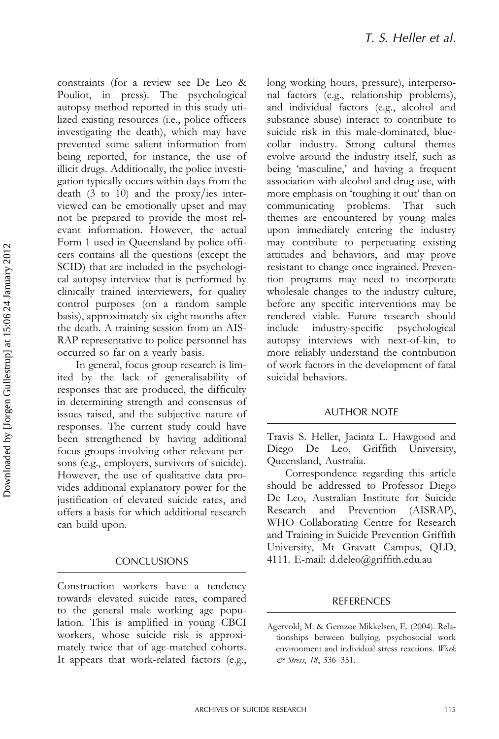constraints (for a review see De Leo & Pouliot, in press). The psychological autopsy method reported in this study utilized existing resources (i.e., police officers investigating the death), which may have prevented some salient information from being reported, for instance, the use of illicit drugs. Additionally, the police investigation typically occurs within days from the death (3 to 10) and the proxy/ies interviewed can be emotionally upset and may not be prepared to provide the most relevant information. However, the actual Form 1 used in Queensland by police officers contains all the questions (except the SCID) that are included in the psychological autopsy interview that is performed by clinically trained interviewers, for quality control purposes (on a random sample basis), approximately six-eight months after the death. A training session from an AIS-RAP representative to police personnel has occurred so far on a yearly basis.

In general, focus group research is limited by the lack of generalisability of responses that are produced, the difficulty in determining strength and consensus of issues raised, and the subjective nature of responses. The current study could have been strengthened by having additional focus groups involving other relevant persons (e.g., employers, survivors of suicide). However, the use of qualitative data provides additional explanatory power for the justification of elevated suicide rates, and offers a basis for which additional research can build upon.

#### **CONCLUSIONS**

Construction workers have a tendency towards elevated suicide rates, compared to the general male working age population. This is amplified in young CBCI workers, whose suicide risk is approximately twice that of age-matched cohorts. It appears that work-related factors (e.g., long working hours, pressure), interpersonal factors (e.g., relationship problems), and individual factors (e.g., alcohol and substance abuse) interact to contribute to suicide risk in this male-dominated, bluecollar industry. Strong cultural themes evolve around the industry itself, such as being 'masculine,' and having a frequent association with alcohol and drug use, with more emphasis on 'toughing it out' than on communicating problems. That such themes are encountered by young males upon immediately entering the industry may contribute to perpetuating existing attitudes and behaviors, and may prove resistant to change once ingrained. Prevention programs may need to incorporate wholesale changes to the industry culture, before any specific interventions may be rendered viable. Future research should include industry-specific psychological autopsy interviews with next-of-kin, to more reliably understand the contribution of work factors in the development of fatal suicidal behaviors.

#### AUTHOR NOTE

Travis S. Heller, Jacinta L. Hawgood and Diego De Leo, Griffith University, Queensland, Australia.

Correspondence regarding this article should be addressed to Professor Diego De Leo, Australian Institute for Suicide Research and Prevention (AISRAP), WHO Collaborating Centre for Research and Training in Suicide Prevention Griffith University, Mt Gravatt Campus, QLD, 4111. E-mail: d.deleo@griffith.edu.au

#### REFERENCES

Agervold, M. & Gemzøe Mikkelsen, E. (2004). Relationships between bullying, psychosocial work environment and individual stress reactions. Work & Stress, 18, 336–351.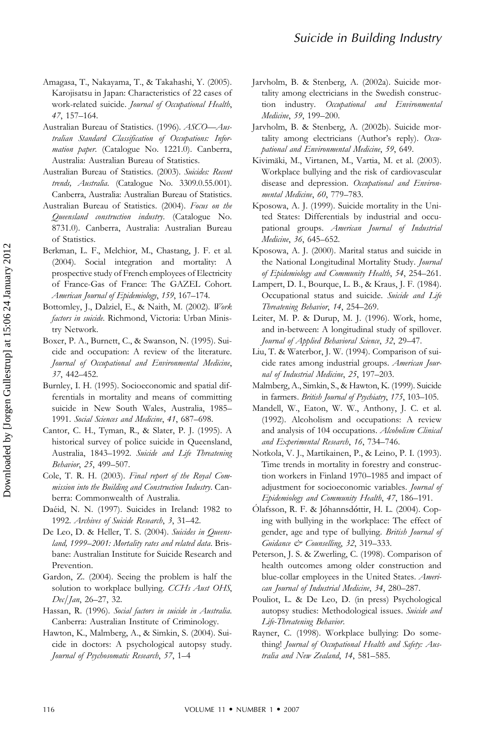- Amagasa, T., Nakayama, T., & Takahashi, Y. (2005). Karojisatsu in Japan: Characteristics of 22 cases of work-related suicide. Journal of Occupational Health, 47, 157–164.
- Australian Bureau of Statistics. (1996). ASCO-Australian Standard Classification of Occupations: Information paper. (Catalogue No. 1221.0). Canberra, Australia: Australian Bureau of Statistics.
- Australian Bureau of Statistics. (2003). Suicides: Recent trends, Australia. (Catalogue No. 3309.0.55.001). Canberra, Australia: Australian Bureau of Statistics.
- Australian Bureau of Statistics. (2004). Focus on the Queensland construction industry. (Catalogue No. 8731.0). Canberra, Australia: Australian Bureau of Statistics.
- Berkman, L. F., Melchior, M., Chastang, J. F. et al. (2004). Social integration and mortality: A prospective study of French employees of Electricity of France-Gas of France: The GAZEL Cohort. American Journal of Epidemiology, 159, 167–174.
- Bottomley, J., Dalziel, E., & Naith, M. (2002). Work factors in suicide. Richmond, Victoria: Urban Ministry Network.
- Boxer, P. A., Burnett, C., & Swanson, N. (1995). Suicide and occupation: A review of the literature. Journal of Occupational and Environmental Medicine, 37, 442–452.
- Burnley, I. H. (1995). Socioeconomic and spatial differentials in mortality and means of committing suicide in New South Wales, Australia, 1985– 1991. Social Sciences and Medicine, 41, 687–698.
- Cantor, C. H., Tyman, R., & Slater, P. J. (1995). A historical survey of police suicide in Queensland, Australia, 1843–1992. Suicide and Life Threatening Behavior, 25, 499–507.
- Cole, T. R. H. (2003). Final report of the Royal Commission into the Building and Construction Industry. Canberra: Commonwealth of Australia.
- Daéid, N. N. (1997). Suicides in Ireland: 1982 to 1992. Archives of Suicide Research, 3, 31–42.
- De Leo, D. & Heller, T. S. (2004). Suicides in Queensland, 1999–2001: Mortality rates and related data. Brisbane: Australian Institute for Suicide Research and Prevention.
- Gardon, Z. (2004). Seeing the problem is half the solution to workplace bullying. CCHs Aust OHS, Dec/Jan, 26–27, 32.
- Hassan, R. (1996). Social factors in suicide in Australia. Canberra: Australian Institute of Criminology.
- Hawton, K., Malmberg, A., & Simkin, S. (2004). Suicide in doctors: A psychological autopsy study. Journal of Psychosomatic Research, 57, 1–4
- Jarvholm, B. & Stenberg, A. (2002a). Suicide mortality among electricians in the Swedish construction industry. Occupational and Environmental Medicine, 59, 199–200.
- Jarvholm, B. & Stenberg, A. (2002b). Suicide mortality among electricians (Author's reply). Occupational and Environmental Medicine, 59, 649.
- Kivimäki, M., Virtanen, M., Vartia, M. et al. (2003). Workplace bullying and the risk of cardiovascular disease and depression. Occupational and Environmental Medicine, 60, 779–783.
- Kposowa, A. J. (1999). Suicide mortality in the United States: Differentials by industrial and occupational groups. American Journal of Industrial Medicine, 36, 645–652.
- Kposowa, A. J. (2000). Marital status and suicide in the National Longitudinal Mortality Study. Journal of Epidemiology and Community Health, 54, 254–261.
- Lampert, D. I., Bourque, L. B., & Kraus, J. F. (1984). Occupational status and suicide. Suicide and Life Threatening Behavior, 14, 254–269.
- Leiter, M. P. & Durup, M. J. (1996). Work, home, and in-between: A longitudinal study of spillover. Journal of Applied Behavioral Science, 32, 29–47.
- Liu, T. & Waterbor, J. W. (1994). Comparison of suicide rates among industrial groups. American Journal of Industrial Medicine, 25, 197–203.
- Malmberg, A., Simkin, S., & Hawton, K. (1999). Suicide in farmers. British Journal of Psychiatry, 175, 103–105.
- Mandell, W., Eaton, W. W., Anthony, J. C. et al. (1992). Alcoholism and occupations: A review and analysis of 104 occupations. Alcoholism Clinical and Experimental Research, 16, 734–746.
- Notkola, V. J., Martikainen, P., & Leino, P. I. (1993). Time trends in mortality in forestry and construction workers in Finland 1970–1985 and impact of adjustment for socioeconomic variables. Journal of Epidemiology and Community Health, 47, 186–191.
- Olafsson, R. F. & Jóhannsdóttir, H. L. (2004). Coping with bullying in the workplace: The effect of gender, age and type of bullying. British Journal of Guidance & Counselling, 32, 319-333.
- Peterson, J. S. & Zwerling, C. (1998). Comparison of health outcomes among older construction and blue-collar employees in the United States. American Journal of Industrial Medicine, 34, 280–287.
- Pouliot, L. & De Leo, D. (in press) Psychological autopsy studies: Methodological issues. Suicide and Life-Threatening Behavior.
- Rayner, C. (1998). Workplace bullying: Do something! Journal of Occupational Health and Safety: Australia and New Zealand, 14, 581–585.